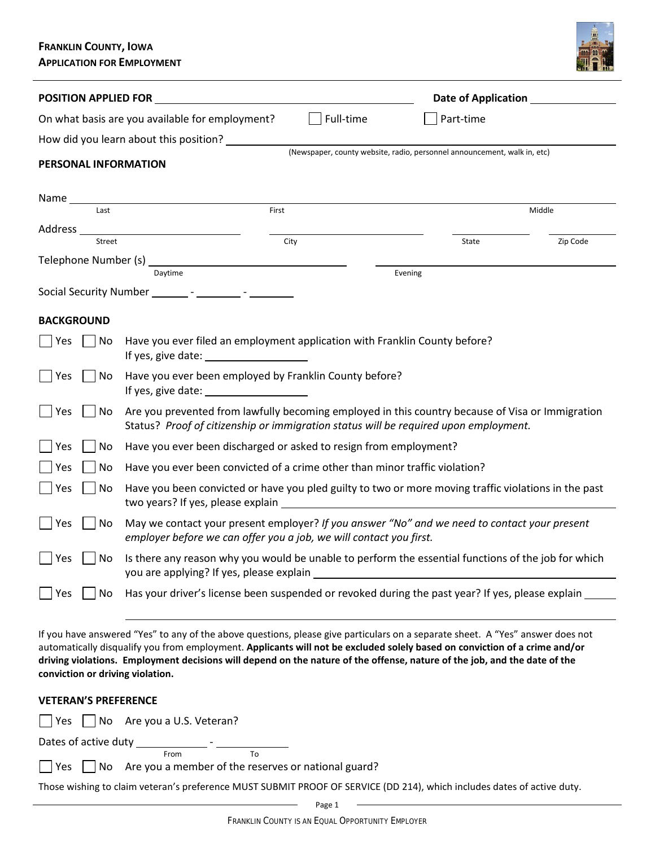# **FRANKLIN COUNTY, IOWA APPLICATION FOR EMPLOYMENT**



| <b>POSITION APPLIED FOR EXAMPLE ASSESSED FOR A SERVICE OF STATIONARY OR ANOTHER STATION OF STATION APPLIED FOR S</b>                                                                                                         | Date of Application ________________                                                                |  |  |
|------------------------------------------------------------------------------------------------------------------------------------------------------------------------------------------------------------------------------|-----------------------------------------------------------------------------------------------------|--|--|
| Full-time<br>On what basis are you available for employment?<br>Part-time                                                                                                                                                    |                                                                                                     |  |  |
| How did you learn about this position?                                                                                                                                                                                       |                                                                                                     |  |  |
|                                                                                                                                                                                                                              | (Newspaper, county website, radio, personnel announcement, walk in, etc)                            |  |  |
|                                                                                                                                                                                                                              |                                                                                                     |  |  |
|                                                                                                                                                                                                                              | Middle                                                                                              |  |  |
| Address __________________________________<br>City                                                                                                                                                                           | Zip Code<br>State                                                                                   |  |  |
|                                                                                                                                                                                                                              |                                                                                                     |  |  |
|                                                                                                                                                                                                                              | Evening                                                                                             |  |  |
|                                                                                                                                                                                                                              |                                                                                                     |  |  |
|                                                                                                                                                                                                                              |                                                                                                     |  |  |
| Have you ever filed an employment application with Franklin County before?<br>No<br>Yes                                                                                                                                      |                                                                                                     |  |  |
| Have you ever been employed by Franklin County before?                                                                                                                                                                       |                                                                                                     |  |  |
| Are you prevented from lawfully becoming employed in this country because of Visa or Immigration<br>No<br>Status? Proof of citizenship or immigration status will be required upon employment.                               |                                                                                                     |  |  |
| Have you ever been discharged or asked to resign from employment?                                                                                                                                                            |                                                                                                     |  |  |
| Have you ever been convicted of a crime other than minor traffic violation?                                                                                                                                                  |                                                                                                     |  |  |
| Have you been convicted or have you pled guilty to two or more moving traffic violations in the past<br>No<br>two years? If yes, please explain example and the state of the state of the state of the state of the state of |                                                                                                     |  |  |
| May we contact your present employer? If you answer "No" and we need to contact your present<br>employer before we can offer you a job, we will contact you first.                                                           |                                                                                                     |  |  |
| Is there any reason why you would be unable to perform the essential functions of the job for which<br>Yes<br>No<br>you are applying? If yes, please explain                                                                 |                                                                                                     |  |  |
|                                                                                                                                                                                                                              | Has your driver's license been suspended or revoked during the past year? If yes, please explain __ |  |  |
|                                                                                                                                                                                                                              | First                                                                                               |  |  |

If you have answered "Yes" to any of the above questions, please give particulars on a separate sheet. A "Yes" answer does not automatically disqualify you from employment. **Applicants will not be excluded solely based on conviction of a crime and/or driving violations. Employment decisions will depend on the nature of the offense, nature of the job, and the date of the conviction or driving violation.**

| conviction or driving violation.                                                                                              |
|-------------------------------------------------------------------------------------------------------------------------------|
| <b>VETERAN'S PREFERENCE</b>                                                                                                   |
| $\vert$ Yes $\vert$ No Are you a U.S. Veteran?                                                                                |
| Dates of active duty has been as the set of a set of a set of the set of the set of the set of the set of the s<br>To<br>From |
| $\vert$   Yes     No Are you a member of the reserves or national guard?                                                      |
| Those wishing to claim veteran's preference MUST SUBMIT PROOF OF SERVICE (DD 214), which includes dates of active duty.       |
| Page 1                                                                                                                        |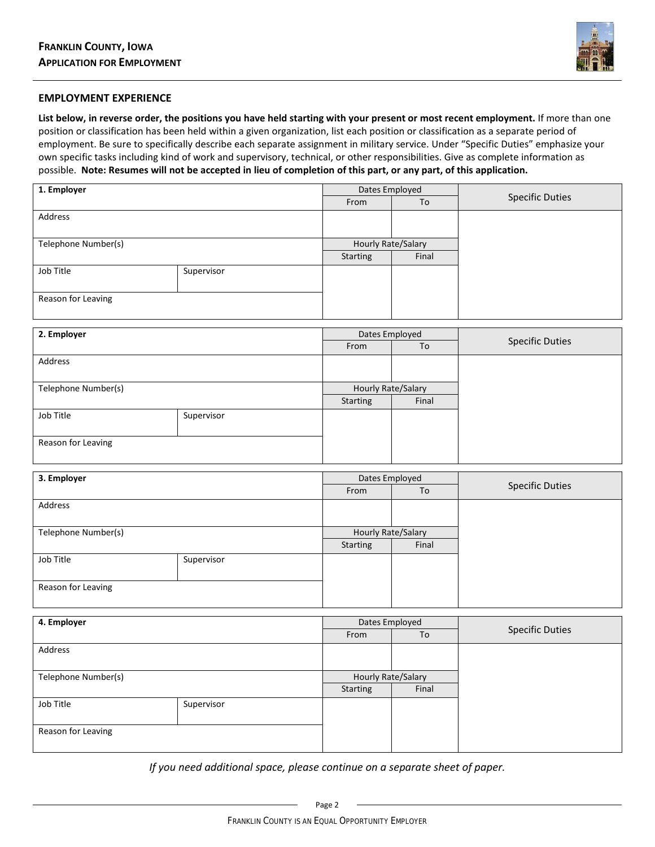

## **EMPLOYMENT EXPERIENCE**

**List below, in reverse order, the positions you have held starting with your present or most recent employment.** If more than one position or classification has been held within a given organization, list each position or classification as a separate period of employment. Be sure to specifically describe each separate assignment in military service. Under "Specific Duties" emphasize your own specific tasks including kind of work and supervisory, technical, or other responsibilities. Give as complete information as possible. **Note: Resumes will not be accepted in lieu of completion of this part, or any part, of this application.**

| 1. Employer         |            | Dates Employed     |       |                        |
|---------------------|------------|--------------------|-------|------------------------|
|                     |            | From               | To    | <b>Specific Duties</b> |
| Address             |            |                    |       |                        |
|                     |            |                    |       |                        |
| Telephone Number(s) |            | Hourly Rate/Salary |       |                        |
|                     |            | Starting           | Final |                        |
| Job Title           | Supervisor |                    |       |                        |
|                     |            |                    |       |                        |
| Reason for Leaving  |            |                    |       |                        |
|                     |            |                    |       |                        |

| 2. Employer         |            | Dates Employed     |       |                        |
|---------------------|------------|--------------------|-------|------------------------|
|                     |            | From               | To    | <b>Specific Duties</b> |
| Address             |            |                    |       |                        |
|                     |            |                    |       |                        |
| Telephone Number(s) |            | Hourly Rate/Salary |       |                        |
|                     |            | Starting           | Final |                        |
| Job Title           | Supervisor |                    |       |                        |
|                     |            |                    |       |                        |
| Reason for Leaving  |            |                    |       |                        |
|                     |            |                    |       |                        |

| 3. Employer         |            | Dates Employed     |       |                        |
|---------------------|------------|--------------------|-------|------------------------|
|                     |            | From               | To    | <b>Specific Duties</b> |
| Address             |            |                    |       |                        |
|                     |            |                    |       |                        |
| Telephone Number(s) |            | Hourly Rate/Salary |       |                        |
|                     |            | Starting           | Final |                        |
| Job Title           | Supervisor |                    |       |                        |
|                     |            |                    |       |                        |
| Reason for Leaving  |            |                    |       |                        |
|                     |            |                    |       |                        |

| 4. Employer         |            | Dates Employed            |       |                        |
|---------------------|------------|---------------------------|-------|------------------------|
|                     |            | From                      | To    | <b>Specific Duties</b> |
| Address             |            |                           |       |                        |
|                     |            |                           |       |                        |
| Telephone Number(s) |            | <b>Hourly Rate/Salary</b> |       |                        |
|                     |            | Starting                  | Final |                        |
| Job Title           | Supervisor |                           |       |                        |
|                     |            |                           |       |                        |
| Reason for Leaving  |            |                           |       |                        |
|                     |            |                           |       |                        |

*If you need additional space, please continue on a separate sheet of paper.*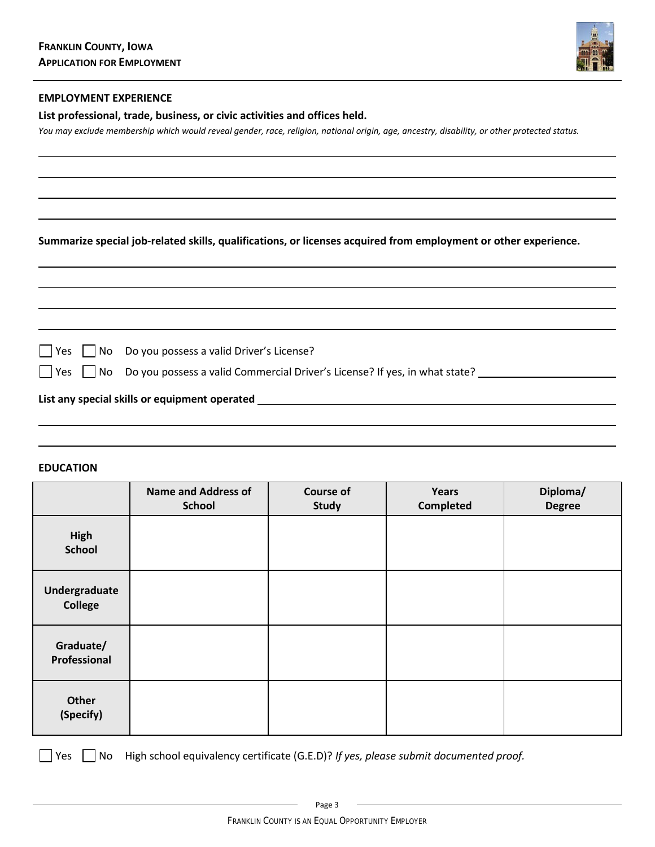

## **EMPLOYMENT EXPERIENCE**

**List professional, trade, business, or civic activities and offices held.**

*You may exclude membership which would reveal gender, race, religion, national origin, age, ancestry, disability, or other protected status.*

**Summarize special job-related skills, qualifications, or licenses acquired from employment or other experience.**

 $\Box$  Yes  $\Box$  No Do you possess a valid Driver's License?

 $\Box$  Yes  $\Box$  No Do you possess a valid Commercial Driver's License? If yes, in what state?

## **List any special skills or equipment operated**

## **EDUCATION**

|                                 | <b>Name and Address of</b><br><b>School</b> | <b>Course of</b><br><b>Study</b> | Years<br><b>Completed</b> | Diploma/<br><b>Degree</b> |
|---------------------------------|---------------------------------------------|----------------------------------|---------------------------|---------------------------|
| High<br><b>School</b>           |                                             |                                  |                           |                           |
| Undergraduate<br><b>College</b> |                                             |                                  |                           |                           |
| Graduate/<br>Professional       |                                             |                                  |                           |                           |
| Other<br>(Specify)              |                                             |                                  |                           |                           |

Yes No High school equivalency certificate (G.E.D)? *If yes, please submit documented proof.*